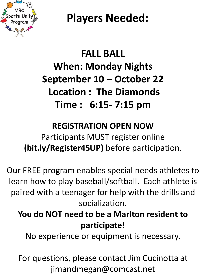

# **FALL BALL When: Monday Nights September 10 – October 22 Location : The Diamonds Time : 6:15- 7:15 pm**

#### **REGISTRATION OPEN NOW**

Participants MUST register online **(bit.ly/Register4SUP)** before participation.

Our FREE program enables special needs athletes to learn how to play baseball/softball. Each athlete is paired with a teenager for help with the drills and socialization.

### **You do NOT need to be a Marlton resident to participate!**

No experience or equipment is necessary.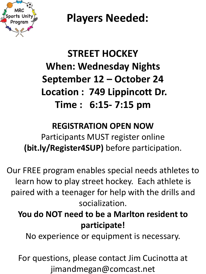

# **STREET HOCKEY When: Wednesday Nights September 12 – October 24 Location : 749 Lippincott Dr. Time : 6:15- 7:15 pm**

#### **REGISTRATION OPEN NOW**

Participants MUST register online **(bit.ly/Register4SUP)** before participation.

Our FREE program enables special needs athletes to learn how to play street hockey. Each athlete is paired with a teenager for help with the drills and socialization.

### **You do NOT need to be a Marlton resident to participate!**

No experience or equipment is necessary.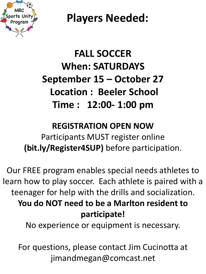

# **FALL SOCCER When: SATURDAYS September 15 – October 27 Location : Beeler School Time : 12:00- 1:00 pm**

#### **REGISTRATION OPEN NOW**

Participants MUST register online **(bit.ly/Register4SUP)** before participation.

Our FREE program enables special needs athletes to learn how to play soccer. Each athlete is paired with a teenager for help with the drills and socialization. **You do NOT need to be a Marlton resident to participate!**

No experience or equipment is necessary.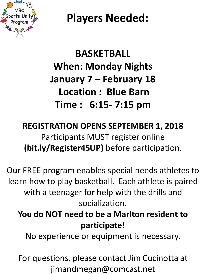

# **BASKETBALL When: Monday Nights January 7 – February 18 Location : Blue Barn Time : 6:15- 7:15 pm**

### **REGISTRATION OPENS SEPTEMBER 1, 2018** Participants MUST register online **(bit.ly/Register4SUP)** before participation.

Our FREE program enables special needs athletes to learn how to play basketball. Each athlete is paired with a teenager for help with the drills and socialization.

### **You do NOT need to be a Marlton resident to participate!**

No experience or equipment is necessary.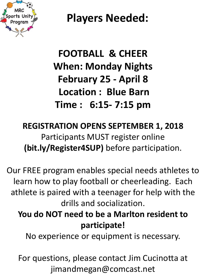

# **FOOTBALL & CHEER When: Monday Nights February 25 - April 8 Location : Blue Barn Time : 6:15- 7:15 pm**

### **REGISTRATION OPENS SEPTEMBER 1, 2018** Participants MUST register online **(bit.ly/Register4SUP)** before participation.

Our FREE program enables special needs athletes to learn how to play football or cheerleading. Each athlete is paired with a teenager for help with the drills and socialization.

### **You do NOT need to be a Marlton resident to participate!**

No experience or equipment is necessary.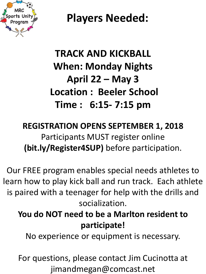

# **TRACK AND KICKBALL When: Monday Nights April 22 – May 3 Location : Beeler School Time : 6:15- 7:15 pm**

### **REGISTRATION OPENS SEPTEMBER 1, 2018** Participants MUST register online **(bit.ly/Register4SUP)** before participation.

Our FREE program enables special needs athletes to learn how to play kick ball and run track. Each athlete is paired with a teenager for help with the drills and socialization.

### **You do NOT need to be a Marlton resident to participate!**

No experience or equipment is necessary.